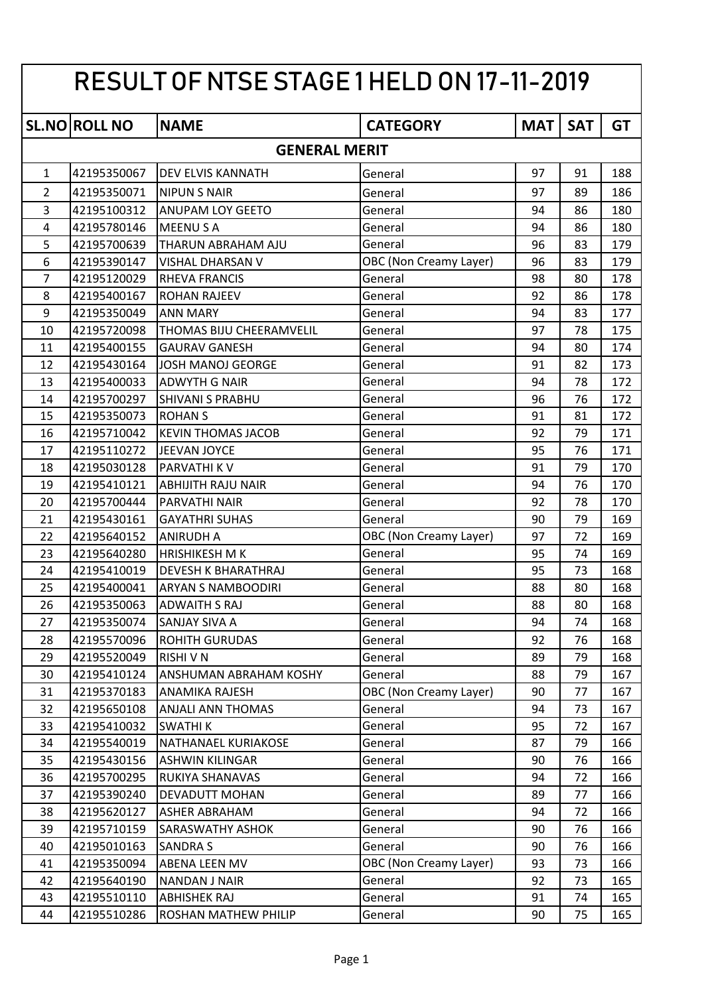| RESULT OF NTSE STAGE 1 HELD ON 17-11-2019 |                      |                            |                               |            |            |           |  |
|-------------------------------------------|----------------------|----------------------------|-------------------------------|------------|------------|-----------|--|
|                                           | <b>SL.NO ROLL NO</b> | <b>NAME</b>                | <b>CATEGORY</b>               | <b>MAT</b> | <b>SAT</b> | <b>GT</b> |  |
|                                           |                      | <b>GENERAL MERIT</b>       |                               |            |            |           |  |
| $\mathbf{1}$                              | 42195350067          | DEV ELVIS KANNATH          | General                       | 97         | 91         | 188       |  |
| $\overline{2}$                            | 42195350071          | <b>NIPUN S NAIR</b>        | General                       | 97         | 89         | 186       |  |
| 3                                         | 42195100312          | <b>ANUPAM LOY GEETO</b>    | General                       | 94         | 86         | 180       |  |
| 4                                         | 42195780146          | <b>MEENUSA</b>             | General                       | 94         | 86         | 180       |  |
| 5                                         | 42195700639          | THARUN ABRAHAM AJU         | General                       | 96         | 83         | 179       |  |
| 6                                         | 42195390147          | VISHAL DHARSAN V           | OBC (Non Creamy Layer)        | 96         | 83         | 179       |  |
| $\overline{7}$                            | 42195120029          | <b>RHEVA FRANCIS</b>       | General                       | 98         | 80         | 178       |  |
| 8                                         | 42195400167          | <b>ROHAN RAJEEV</b>        | General                       | 92         | 86         | 178       |  |
| 9                                         | 42195350049          | <b>ANN MARY</b>            | General                       | 94         | 83         | 177       |  |
| 10                                        | 42195720098          | THOMAS BIJU CHEERAMVELIL   | General                       | 97         | 78         | 175       |  |
| 11                                        | 42195400155          | <b>GAURAV GANESH</b>       | General                       | 94         | 80         | 174       |  |
| 12                                        | 42195430164          | <b>JOSH MANOJ GEORGE</b>   | General                       | 91         | 82         | 173       |  |
| 13                                        | 42195400033          | <b>ADWYTH G NAIR</b>       | General                       | 94         | 78         | 172       |  |
| 14                                        | 42195700297          | <b>SHIVANI S PRABHU</b>    | General                       | 96         | 76         | 172       |  |
| 15                                        | 42195350073          | <b>ROHAN S</b>             | General                       | 91         | 81         | 172       |  |
| 16                                        | 42195710042          | <b>KEVIN THOMAS JACOB</b>  | General                       | 92         | 79         | 171       |  |
| 17                                        | 42195110272          | JEEVAN JOYCE               | General                       | 95         | 76         | 171       |  |
| 18                                        | 42195030128          | <b>PARVATHI K V</b>        | General                       | 91         | 79         | 170       |  |
| 19                                        | 42195410121          | <b>ABHIJITH RAJU NAIR</b>  | General                       | 94         | 76         | 170       |  |
| 20                                        | 42195700444          | PARVATHI NAIR              | General                       | 92         | 78         | 170       |  |
| 21                                        | 42195430161          | <b>GAYATHRI SUHAS</b>      | General                       | 90         | 79         | 169       |  |
| 22                                        | 42195640152          | <b>ANIRUDH A</b>           | OBC (Non Creamy Layer)        | 97         | 72         | 169       |  |
| 23                                        | 42195640280          | <b>HRISHIKESH M K</b>      | General                       | 95         | 74         | 169       |  |
| 24                                        | 42195410019          | <b>DEVESH K BHARATHRAJ</b> | General                       | 95         | 73         | 168       |  |
| 25                                        | 42195400041          | <b>ARYAN S NAMBOODIRI</b>  | General                       | 88         | 80         | 168       |  |
| 26                                        | 42195350063          | <b>ADWAITH S RAJ</b>       | General                       | 88         | 80         | 168       |  |
| 27                                        | 42195350074          | SANJAY SIVA A              | General                       | 94         | 74         | 168       |  |
| 28                                        | 42195570096          | <b>ROHITH GURUDAS</b>      | General                       | 92         | 76         | 168       |  |
| 29                                        | 42195520049          | <b>RISHIVN</b>             | General                       | 89         | 79         | 168       |  |
| 30                                        | 42195410124          | ANSHUMAN ABRAHAM KOSHY     | General                       | 88         | 79         | 167       |  |
| 31                                        | 42195370183          | <b>ANAMIKA RAJESH</b>      | <b>OBC</b> (Non Creamy Layer) | 90         | 77         | 167       |  |
| 32                                        | 42195650108          | ANJALI ANN THOMAS          | General                       | 94         | 73         | 167       |  |
| 33                                        | 42195410032          | <b>SWATHIK</b>             | General                       | 95         | 72         | 167       |  |
| 34                                        | 42195540019          | NATHANAEL KURIAKOSE        | General                       | 87         | 79         | 166       |  |
| 35                                        | 42195430156          | <b>ASHWIN KILINGAR</b>     | General                       | 90         | 76         | 166       |  |
| 36                                        | 42195700295          | RUKIYA SHANAVAS            | General                       | 94         | 72         | 166       |  |
| 37                                        | 42195390240          | DEVADUTT MOHAN             | General                       | 89         | 77         | 166       |  |
| 38                                        | 42195620127          | <b>ASHER ABRAHAM</b>       | General                       | 94         | 72         | 166       |  |
| 39                                        | 42195710159          | <b>SARASWATHY ASHOK</b>    | General                       | 90         | 76         | 166       |  |
| 40                                        | 42195010163          | <b>SANDRA S</b>            | General                       | 90         | 76         | 166       |  |
| 41                                        | 42195350094          | ABENA LEEN MV              | OBC (Non Creamy Layer)        | 93         | 73         | 166       |  |
| 42                                        | 42195640190          | <b>NANDAN J NAIR</b>       | General                       | 92         | 73         | 165       |  |
| 43                                        | 42195510110          | <b>ABHISHEK RAJ</b>        | General                       | 91         | 74         | 165       |  |
| 44                                        | 42195510286          | ROSHAN MATHEW PHILIP       | General                       | 90         | 75         | 165       |  |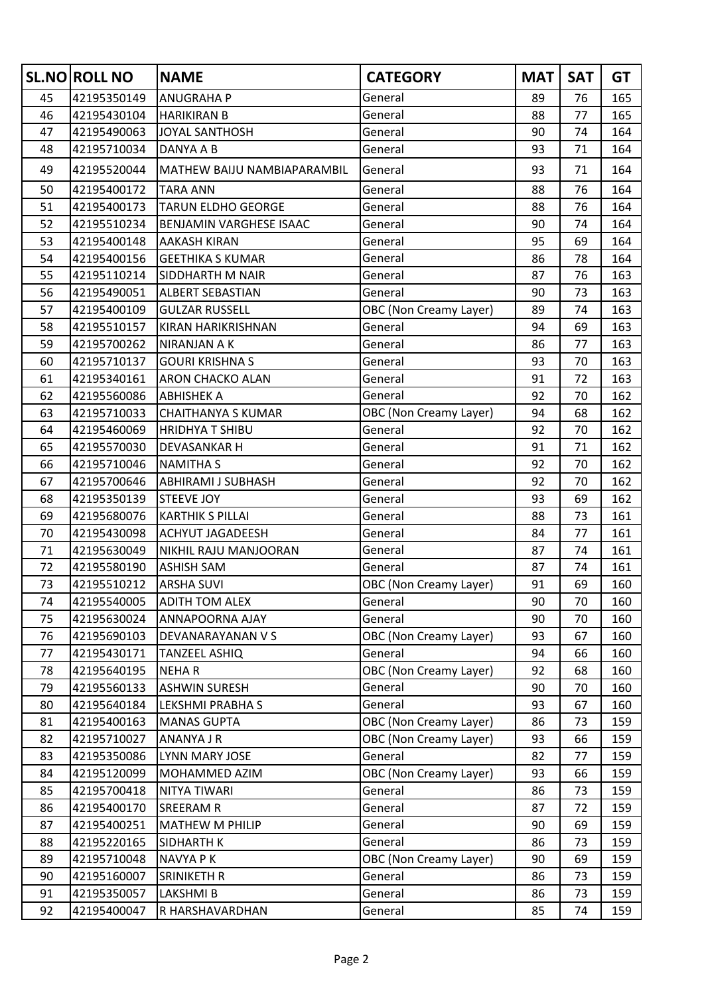|    | <b>SL.NO ROLL NO</b> | <b>NAME</b>                 | <b>CATEGORY</b>        | <b>MAT</b> | <b>SAT</b> | <b>GT</b> |
|----|----------------------|-----------------------------|------------------------|------------|------------|-----------|
| 45 | 42195350149          | <b>ANUGRAHA P</b>           | General                | 89         | 76         | 165       |
| 46 | 42195430104          | <b>HARIKIRAN B</b>          | General                | 88         | 77         | 165       |
| 47 | 42195490063          | <b>JOYAL SANTHOSH</b>       | General                | 90         | 74         | 164       |
| 48 | 42195710034          | DANYA A B                   | General                | 93         | 71         | 164       |
| 49 | 42195520044          | MATHEW BAIJU NAMBIAPARAMBIL | General                | 93         | 71         | 164       |
| 50 | 42195400172          | <b>TARA ANN</b>             | General                | 88         | 76         | 164       |
| 51 | 42195400173          | <b>TARUN ELDHO GEORGE</b>   | General                | 88         | 76         | 164       |
| 52 | 42195510234          | BENJAMIN VARGHESE ISAAC     | General                | 90         | 74         | 164       |
| 53 | 42195400148          | <b>AAKASH KIRAN</b>         | General                | 95         | 69         | 164       |
| 54 | 42195400156          | <b>GEETHIKA S KUMAR</b>     | General                | 86         | 78         | 164       |
| 55 | 42195110214          | SIDDHARTH M NAIR            | General                | 87         | 76         | 163       |
| 56 | 42195490051          | <b>ALBERT SEBASTIAN</b>     | General                | 90         | 73         | 163       |
| 57 | 42195400109          | <b>GULZAR RUSSELL</b>       | OBC (Non Creamy Layer) | 89         | 74         | 163       |
| 58 | 42195510157          | KIRAN HARIKRISHNAN          | General                | 94         | 69         | 163       |
| 59 | 42195700262          | <b>NIRANJAN A K</b>         | General                | 86         | 77         | 163       |
| 60 | 42195710137          | <b>GOURI KRISHNA S</b>      | General                | 93         | 70         | 163       |
| 61 | 42195340161          | <b>ARON CHACKO ALAN</b>     | General                | 91         | 72         | 163       |
| 62 | 42195560086          | <b>ABHISHEK A</b>           | General                | 92         | 70         | 162       |
| 63 | 42195710033          | <b>CHAITHANYA S KUMAR</b>   | OBC (Non Creamy Layer) | 94         | 68         | 162       |
| 64 | 42195460069          | <b>HRIDHYA T SHIBU</b>      | General                | 92         | 70         | 162       |
| 65 | 42195570030          | DEVASANKAR H                | General                | 91         | 71         | 162       |
| 66 | 42195710046          | <b>NAMITHA S</b>            | General                | 92         | 70         | 162       |
| 67 | 42195700646          | <b>ABHIRAMI J SUBHASH</b>   | General                | 92         | 70         | 162       |
| 68 | 42195350139          | <b>STEEVE JOY</b>           | General                | 93         | 69         | 162       |
| 69 | 42195680076          | <b>KARTHIK S PILLAI</b>     | General                | 88         | 73         | 161       |
| 70 | 42195430098          | <b>ACHYUT JAGADEESH</b>     | General                | 84         | 77         | 161       |
| 71 | 42195630049          | NIKHIL RAJU MANJOORAN       | General                | 87         | 74         | 161       |
| 72 | 42195580190          | <b>ASHISH SAM</b>           | General                | 87         | 74         | 161       |
| 73 | 42195510212          | <b>ARSHA SUVI</b>           | OBC (Non Creamy Layer) | 91         | 69         | 160       |
| 74 | 42195540005          | <b>ADITH TOM ALEX</b>       | General                | 90         | 70         | 160       |
| 75 | 42195630024          | ANNAPOORNA AJAY             | General                | 90         | 70         | 160       |
| 76 | 42195690103          | DEVANARAYANAN V S           | OBC (Non Creamy Layer) | 93         | 67         | 160       |
| 77 | 42195430171          | TANZEEL ASHIQ               | General                | 94         | 66         | 160       |
| 78 | 42195640195          | <b>NEHAR</b>                | OBC (Non Creamy Layer) | 92         | 68         | 160       |
| 79 | 42195560133          | <b>ASHWIN SURESH</b>        | General                | 90         | 70         | 160       |
| 80 | 42195640184          | LEKSHMI PRABHA S            | General                | 93         | 67         | 160       |
| 81 | 42195400163          | <b>MANAS GUPTA</b>          | OBC (Non Creamy Layer) | 86         | 73         | 159       |
| 82 | 42195710027          | ANANYA J R                  | OBC (Non Creamy Layer) | 93         | 66         | 159       |
| 83 | 42195350086          | LYNN MARY JOSE              | General                | 82         | 77         | 159       |
| 84 | 42195120099          | MOHAMMED AZIM               | OBC (Non Creamy Layer) | 93         | 66         | 159       |
| 85 | 42195700418          | NITYA TIWARI                | General                | 86         | 73         | 159       |
| 86 | 42195400170          | <b>SREERAM R</b>            | General                | 87         | 72         | 159       |
| 87 | 42195400251          | MATHEW M PHILIP             | General                | 90         | 69         | 159       |
| 88 | 42195220165          | SIDHARTH K                  | General                | 86         | 73         | 159       |
| 89 | 42195710048          | NAVYA P K                   | OBC (Non Creamy Layer) | 90         | 69         | 159       |
| 90 | 42195160007          | SRINIKETH R                 | General                | 86         | 73         | 159       |
| 91 | 42195350057          | <b>LAKSHMIB</b>             | General                | 86         | 73         | 159       |
| 92 | 42195400047          | R HARSHAVARDHAN             | General                | 85         | 74         | 159       |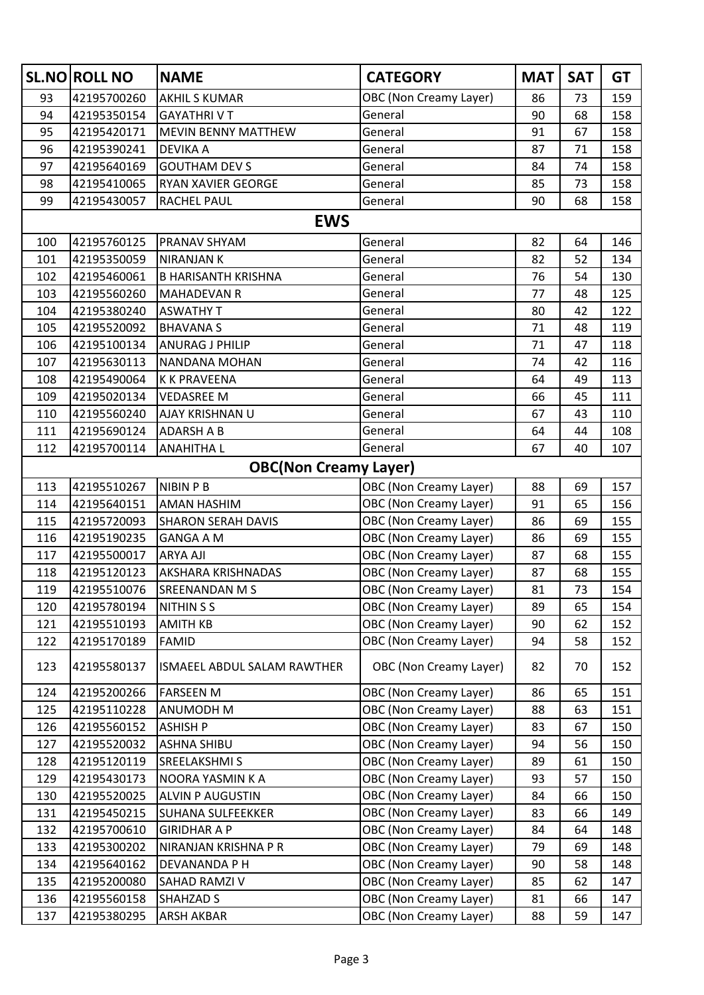|     | <b>SL.NO ROLL NO</b> | <b>NAME</b>                  | <b>CATEGORY</b>               | <b>MAT</b> | <b>SAT</b> | <b>GT</b> |
|-----|----------------------|------------------------------|-------------------------------|------------|------------|-----------|
| 93  | 42195700260          | <b>AKHIL S KUMAR</b>         | OBC (Non Creamy Layer)        | 86         | 73         | 159       |
| 94  | 42195350154          | <b>GAYATHRIVT</b>            | General                       | 90         | 68         | 158       |
| 95  | 42195420171          | <b>MEVIN BENNY MATTHEW</b>   | General                       | 91         | 67         | 158       |
| 96  | 42195390241          | <b>DEVIKA A</b>              | General                       | 87         | 71         | 158       |
| 97  | 42195640169          | <b>GOUTHAM DEV S</b>         | General                       | 84         | 74         | 158       |
| 98  | 42195410065          | RYAN XAVIER GEORGE           | General                       | 85         | 73         | 158       |
| 99  | 42195430057          | RACHEL PAUL                  | General                       | 90         | 68         | 158       |
|     |                      | <b>EWS</b>                   |                               |            |            |           |
| 100 | 42195760125          | <b>PRANAV SHYAM</b>          | General                       | 82         | 64         | 146       |
| 101 | 42195350059          | <b>NIRANJAN K</b>            | General                       | 82         | 52         | 134       |
| 102 | 42195460061          | <b>B HARISANTH KRISHNA</b>   | General                       | 76         | 54         | 130       |
| 103 | 42195560260          | <b>MAHADEVAN R</b>           | General                       | 77         | 48         | 125       |
| 104 | 42195380240          | <b>ASWATHY T</b>             | General                       | 80         | 42         | 122       |
| 105 | 42195520092          | <b>BHAVANA S</b>             | General                       | 71         | 48         | 119       |
| 106 | 42195100134          | <b>ANURAG J PHILIP</b>       | General                       | 71         | 47         | 118       |
| 107 | 42195630113          | NANDANA MOHAN                | General                       | 74         | 42         | 116       |
| 108 | 42195490064          | <b>K K PRAVEENA</b>          | General                       | 64         | 49         | 113       |
| 109 | 42195020134          | <b>VEDASREE M</b>            | General                       | 66         | 45         | 111       |
| 110 | 42195560240          | AJAY KRISHNAN U              | General                       | 67         | 43         | 110       |
| 111 | 42195690124          | <b>ADARSH A B</b>            | General                       | 64         | 44         | 108       |
| 112 | 42195700114          | <b>ANAHITHA L</b>            | General                       | 67         | 40         | 107       |
|     |                      | <b>OBC(Non Creamy Layer)</b> |                               |            |            |           |
| 113 | 42195510267          | <b>NIBIN P B</b>             | OBC (Non Creamy Layer)        | 88         | 69         | 157       |
| 114 | 42195640151          | AMAN HASHIM                  | OBC (Non Creamy Layer)        | 91         | 65         | 156       |
| 115 | 42195720093          | <b>SHARON SERAH DAVIS</b>    | OBC (Non Creamy Layer)        | 86         | 69         | 155       |
| 116 | 42195190235          | <b>GANGA A M</b>             | <b>OBC (Non Creamy Layer)</b> | 86         | 69         | 155       |
| 117 | 42195500017          | <b>ARYA AJI</b>              | OBC (Non Creamy Layer)        | 87         | 68         | 155       |
| 118 | 42195120123          | AKSHARA KRISHNADAS           | <b>OBC</b> (Non Creamy Layer) | 87         | 68         | 155       |
| 119 | 42195510076          | <b>SREENANDAN M S</b>        | OBC (Non Creamy Layer)        | 81         | 73         | 154       |
| 120 | 42195780194          | <b>NITHIN S S</b>            | OBC (Non Creamy Layer)        | 89         | 65         | 154       |
| 121 | 42195510193          | <b>AMITH KB</b>              | OBC (Non Creamy Layer)        | 90         | 62         | 152       |
| 122 | 42195170189          | <b>FAMID</b>                 | OBC (Non Creamy Layer)        | 94         | 58         | 152       |
| 123 | 42195580137          | ISMAEEL ABDUL SALAM RAWTHER  | OBC (Non Creamy Layer)        | 82         | 70         | 152       |
| 124 | 42195200266          | <b>FARSEEN M</b>             | OBC (Non Creamy Layer)        | 86         | 65         | 151       |
| 125 | 42195110228          | ANUMODH M                    | <b>OBC (Non Creamy Layer)</b> | 88         | 63         | 151       |
| 126 | 42195560152          | <b>ASHISH P</b>              | <b>OBC (Non Creamy Layer)</b> | 83         | 67         | 150       |
| 127 | 42195520032          | <b>ASHNA SHIBU</b>           | OBC (Non Creamy Layer)        | 94         | 56         | 150       |
| 128 | 42195120119          | SREELAKSHMI S                | OBC (Non Creamy Layer)        | 89         | 61         | 150       |
| 129 | 42195430173          | NOORA YASMIN K A             | OBC (Non Creamy Layer)        | 93         | 57         | 150       |
| 130 | 42195520025          | <b>ALVIN P AUGUSTIN</b>      | OBC (Non Creamy Layer)        | 84         | 66         | 150       |
| 131 | 42195450215          | <b>SUHANA SULFEEKKER</b>     | OBC (Non Creamy Layer)        | 83         | 66         | 149       |
| 132 | 42195700610          | <b>GIRIDHAR A P</b>          | OBC (Non Creamy Layer)        | 84         | 64         | 148       |
| 133 | 42195300202          | NIRANJAN KRISHNA P R         | OBC (Non Creamy Layer)        | 79         | 69         | 148       |
| 134 | 42195640162          | DEVANANDA P H                | <b>OBC (Non Creamy Layer)</b> | 90         | 58         | 148       |
| 135 | 42195200080          | SAHAD RAMZI V                | OBC (Non Creamy Layer)        | 85         | 62         | 147       |
| 136 | 42195560158          | <b>SHAHZAD S</b>             | OBC (Non Creamy Layer)        | 81         | 66         | 147       |
| 137 | 42195380295          | <b>ARSH AKBAR</b>            | OBC (Non Creamy Layer)        | 88         | 59         | 147       |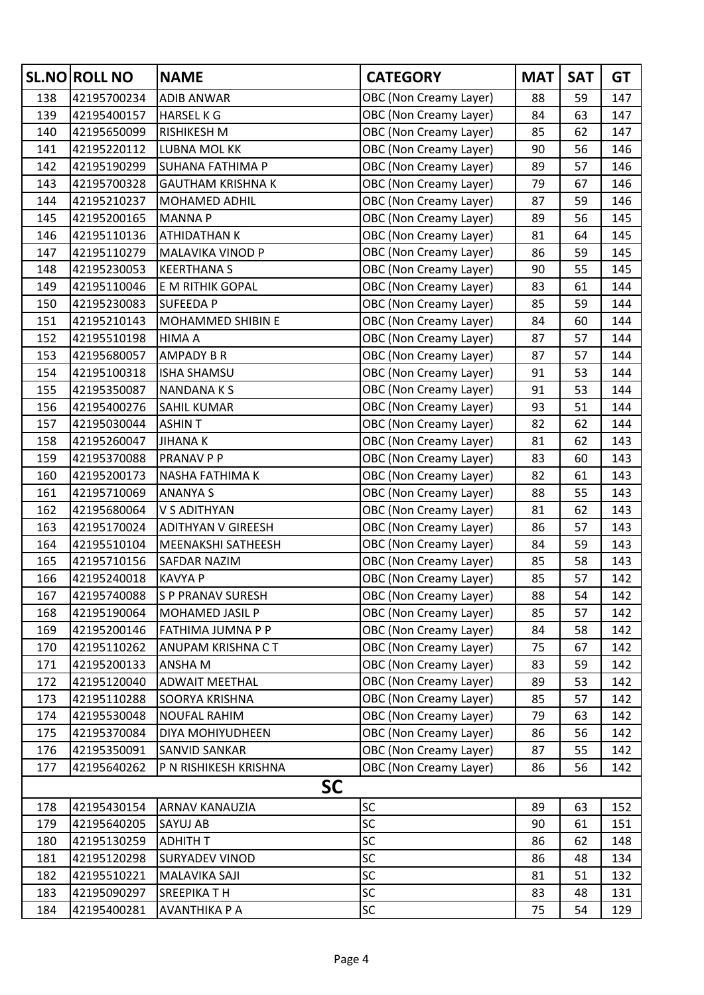|     | <b>SL.NO ROLL NO</b> | <b>NAME</b>               | <b>CATEGORY</b>               | <b>MAT</b> | <b>SAT</b> | <b>GT</b> |
|-----|----------------------|---------------------------|-------------------------------|------------|------------|-----------|
| 138 | 42195700234          | <b>ADIB ANWAR</b>         | OBC (Non Creamy Layer)        | 88         | 59         | 147       |
| 139 | 42195400157          | <b>HARSEL K G</b>         | <b>OBC (Non Creamy Layer)</b> | 84         | 63         | 147       |
| 140 | 42195650099          | <b>RISHIKESH M</b>        | <b>OBC (Non Creamy Layer)</b> | 85         | 62         | 147       |
| 141 | 42195220112          | LUBNA MOL KK              | <b>OBC (Non Creamy Layer)</b> | 90         | 56         | 146       |
| 142 | 42195190299          | SUHANA FATHIMA P          | <b>OBC (Non Creamy Layer)</b> | 89         | 57         | 146       |
| 143 | 42195700328          | <b>GAUTHAM KRISHNA K</b>  | <b>OBC (Non Creamy Layer)</b> | 79         | 67         | 146       |
| 144 | 42195210237          | MOHAMED ADHIL             | <b>OBC (Non Creamy Layer)</b> | 87         | 59         | 146       |
| 145 | 42195200165          | <b>MANNAP</b>             | <b>OBC (Non Creamy Layer)</b> | 89         | 56         | 145       |
| 146 | 42195110136          | ATHIDATHAN K              | <b>OBC (Non Creamy Layer)</b> | 81         | 64         | 145       |
| 147 | 42195110279          | MALAVIKA VINOD P          | <b>OBC (Non Creamy Layer)</b> | 86         | 59         | 145       |
| 148 | 42195230053          | <b>KEERTHANA S</b>        | <b>OBC (Non Creamy Layer)</b> | 90         | 55         | 145       |
| 149 | 42195110046          | E M RITHIK GOPAL          | <b>OBC (Non Creamy Layer)</b> | 83         | 61         | 144       |
| 150 | 42195230083          | <b>SUFEEDA P</b>          | <b>OBC (Non Creamy Layer)</b> | 85         | 59         | 144       |
| 151 | 42195210143          | MOHAMMED SHIBIN E         | <b>OBC (Non Creamy Layer)</b> | 84         | 60         | 144       |
| 152 | 42195510198          | HIMA A                    | <b>OBC (Non Creamy Layer)</b> | 87         | 57         | 144       |
| 153 | 42195680057          | <b>AMPADY B R</b>         | <b>OBC (Non Creamy Layer)</b> | 87         | 57         | 144       |
| 154 | 42195100318          | <b>ISHA SHAMSU</b>        | <b>OBC (Non Creamy Layer)</b> | 91         | 53         | 144       |
| 155 | 42195350087          | <b>NANDANAKS</b>          | <b>OBC (Non Creamy Layer)</b> | 91         | 53         | 144       |
| 156 | 42195400276          | SAHIL KUMAR               | <b>OBC (Non Creamy Layer)</b> | 93         | 51         | 144       |
| 157 | 42195030044          | <b>ASHINT</b>             | OBC (Non Creamy Layer)        | 82         | 62         | 144       |
| 158 | 42195260047          | <b>JIHANAK</b>            | <b>OBC (Non Creamy Layer)</b> | 81         | 62         | 143       |
| 159 | 42195370088          | PRANAV P P                | <b>OBC (Non Creamy Layer)</b> | 83         | 60         | 143       |
| 160 | 42195200173          | NASHA FATHIMA K           | <b>OBC (Non Creamy Layer)</b> | 82         | 61         | 143       |
| 161 | 42195710069          | <b>ANANYA S</b>           | OBC (Non Creamy Layer)        | 88         | 55         | 143       |
| 162 | 42195680064          | V S ADITHYAN              | OBC (Non Creamy Layer)        | 81         | 62         | 143       |
| 163 | 42195170024          | <b>ADITHYAN V GIREESH</b> | <b>OBC (Non Creamy Layer)</b> | 86         | 57         | 143       |
| 164 | 42195510104          | MEENAKSHI SATHEESH        | <b>OBC (Non Creamy Layer)</b> | 84         | 59         | 143       |
| 165 | 42195710156          | SAFDAR NAZIM              | <b>OBC</b> (Non Creamy Layer) | 85         | 58         | 143       |
| 166 | 42195240018          | <b>KAVYA P</b>            | <b>OBC (Non Creamy Layer)</b> | 85         | 57         | 142       |
| 167 | 42195740088          | S P PRANAV SURESH         | OBC (Non Creamy Layer)        | 88         | 54         | 142       |
| 168 | 42195190064          | MOHAMED JASIL P           | <b>OBC (Non Creamy Layer)</b> | 85         | 57         | 142       |
| 169 | 42195200146          | FATHIMA JUMNA P P         | <b>OBC (Non Creamy Layer)</b> | 84         | 58         | 142       |
| 170 | 42195110262          | ANUPAM KRISHNA CT         | <b>OBC (Non Creamy Layer)</b> | 75         | 67         | 142       |
| 171 | 42195200133          | ANSHA M                   | <b>OBC (Non Creamy Layer)</b> | 83         | 59         | 142       |
| 172 | 42195120040          | <b>ADWAIT MEETHAL</b>     | OBC (Non Creamy Layer)        | 89         | 53         | 142       |
| 173 | 42195110288          | SOORYA KRISHNA            | OBC (Non Creamy Layer)        | 85         | 57         | 142       |
| 174 | 42195530048          | <b>NOUFAL RAHIM</b>       | <b>OBC (Non Creamy Layer)</b> | 79         | 63         | 142       |
| 175 | 42195370084          | DIYA MOHIYUDHEEN          | <b>OBC (Non Creamy Layer)</b> | 86         | 56         | 142       |
| 176 | 42195350091          | SANVID SANKAR             | OBC (Non Creamy Layer)        | 87         | 55         | 142       |
| 177 | 42195640262          | P N RISHIKESH KRISHNA     | OBC (Non Creamy Layer)        | 86         | 56         | 142       |
|     |                      | <b>SC</b>                 |                               |            |            |           |
| 178 | 42195430154          | ARNAV KANAUZIA            | <b>SC</b>                     | 89         | 63         | 152       |
| 179 | 42195640205          | SAYUJ AB                  | <b>SC</b>                     | 90         | 61         | 151       |
| 180 | 42195130259          | <b>ADHITH T</b>           | <b>SC</b>                     | 86         | 62         | 148       |
| 181 | 42195120298          | <b>SURYADEV VINOD</b>     | SC                            | 86         | 48         | 134       |
| 182 | 42195510221          | MALAVIKA SAJI             | <b>SC</b>                     | 81         | 51         | 132       |
| 183 | 42195090297          | SREEPIKA TH               | SC                            | 83         | 48         | 131       |
| 184 | 42195400281          | AVANTHIKA P A             | <b>SC</b>                     | 75         | 54         | 129       |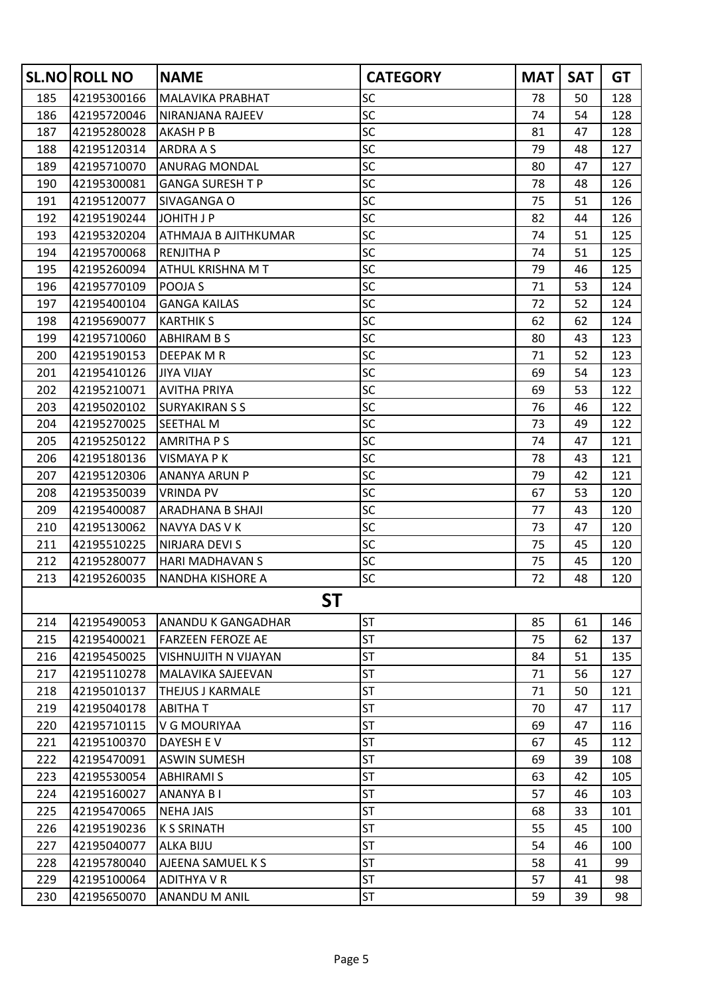|     | <b>SL.NO ROLL NO</b> | <b>NAME</b>               | <b>CATEGORY</b> | <b>MAT</b> | <b>SAT</b> | <b>GT</b> |
|-----|----------------------|---------------------------|-----------------|------------|------------|-----------|
| 185 | 42195300166          | MALAVIKA PRABHAT          | <b>SC</b>       | 78         | 50         | 128       |
| 186 | 42195720046          | NIRANJANA RAJEEV          | SC              | 74         | 54         | 128       |
| 187 | 42195280028          | <b>AKASH P B</b>          | SC              | 81         | 47         | 128       |
| 188 | 42195120314          | ARDRA A S                 | SC              | 79         | 48         | 127       |
| 189 | 42195710070          | ANURAG MONDAL             | SC              | 80         | 47         | 127       |
| 190 | 42195300081          | <b>GANGA SURESH T P</b>   | SC              | 78         | 48         | 126       |
| 191 | 42195120077          | SIVAGANGA O               | <b>SC</b>       | 75         | 51         | 126       |
| 192 | 42195190244          | JOHITH J P                | <b>SC</b>       | 82         | 44         | 126       |
| 193 | 42195320204          | ATHMAJA B AJITHKUMAR      | SC              | 74         | 51         | 125       |
| 194 | 42195700068          | <b>RENJITHA P</b>         | SC              | 74         | 51         | 125       |
| 195 | 42195260094          | ATHUL KRISHNA M T         | SC              | 79         | 46         | 125       |
| 196 | 42195770109          | POOJA S                   | SC              | 71         | 53         | 124       |
| 197 | 42195400104          | <b>GANGA KAILAS</b>       | SC              | 72         | 52         | 124       |
| 198 | 42195690077          | <b>KARTHIK S</b>          | SC              | 62         | 62         | 124       |
| 199 | 42195710060          | <b>ABHIRAM B S</b>        | SC              | 80         | 43         | 123       |
| 200 | 42195190153          | DEEPAK M R                | SC              | 71         | 52         | 123       |
| 201 | 42195410126          | <b>JIYA VIJAY</b>         | SC              | 69         | 54         | 123       |
| 202 | 42195210071          | <b>AVITHA PRIYA</b>       | SC              | 69         | 53         | 122       |
| 203 | 42195020102          | <b>SURYAKIRAN S S</b>     | SC              | 76         | 46         | 122       |
| 204 | 42195270025          | <b>SEETHAL M</b>          | <b>SC</b>       | 73         | 49         | 122       |
| 205 | 42195250122          | <b>AMRITHA P S</b>        | SC              | 74         | 47         | 121       |
| 206 | 42195180136          | <b>VISMAYA P K</b>        | SC              | 78         | 43         | 121       |
| 207 | 42195120306          | ANANYA ARUN P             | SC              | 79         | 42         | 121       |
| 208 | 42195350039          | <b>VRINDA PV</b>          | SC              | 67         | 53         | 120       |
| 209 | 42195400087          | ARADHANA B SHAJI          | SC              | 77         | 43         | 120       |
| 210 | 42195130062          | NAVYA DAS V K             | <b>SC</b>       | 73         | 47         | 120       |
| 211 | 42195510225          | NIRJARA DEVI S            | <b>SC</b>       | 75         | 45         | 120       |
| 212 | 42195280077          | <b>HARI MADHAVAN S</b>    | SC              | 75         | 45         | 120       |
| 213 | 42195260035          | NANDHA KISHORE A          | SC              | 72         | 48         | 120       |
|     |                      | ST                        |                 |            |            |           |
| 214 | 42195490053          | <b>ANANDU K GANGADHAR</b> | <b>ST</b>       | 85         | 61         | 146       |
| 215 | 42195400021          | <b>FARZEEN FEROZE AE</b>  | <b>ST</b>       | 75         | 62         | 137       |
| 216 | 42195450025          | VISHNUJITH N VIJAYAN      | <b>ST</b>       | 84         | 51         | 135       |
| 217 | 42195110278          | MALAVIKA SAJEEVAN         | <b>ST</b>       | 71         | 56         | 127       |
| 218 | 42195010137          | <b>THEJUS J KARMALE</b>   | <b>ST</b>       | 71         | 50         | 121       |
| 219 | 42195040178          | <b>ABITHAT</b>            | <b>ST</b>       | 70         | 47         | 117       |
| 220 | 42195710115          | V G MOURIYAA              | <b>ST</b>       | 69         | 47         | 116       |
| 221 | 42195100370          | DAYESH EV                 | <b>ST</b>       | 67         | 45         | 112       |
| 222 | 42195470091          | <b>ASWIN SUMESH</b>       | <b>ST</b>       | 69         | 39         | 108       |
| 223 | 42195530054          | <b>ABHIRAMI S</b>         | <b>ST</b>       | 63         | 42         | 105       |
| 224 | 42195160027          | <b>ANANYA BI</b>          | <b>ST</b>       | 57         | 46         | 103       |
| 225 | 42195470065          | <b>NEHA JAIS</b>          | <b>ST</b>       | 68         | 33         | 101       |
| 226 | 42195190236          | <b>K S SRINATH</b>        | <b>ST</b>       | 55         | 45         | 100       |
| 227 | 42195040077          | <b>ALKA BIJU</b>          | <b>ST</b>       | 54         | 46         | 100       |
| 228 | 42195780040          | AJEENA SAMUEL K S         | <b>ST</b>       | 58         | 41         | 99        |
| 229 | 42195100064          | <b>ADITHYA V R</b>        | <b>ST</b>       | 57         | 41         | 98        |
| 230 | 42195650070          | ANANDU M ANIL             | <b>ST</b>       | 59         | 39         | 98        |